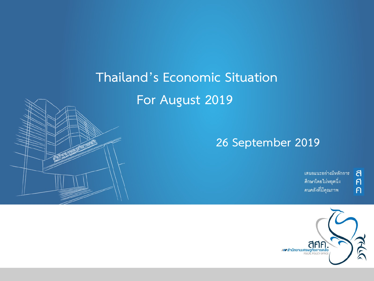## **Thailand's Economic Situation**

### **For August 2019**

### **26 September 2019**

เสนอแนะอย่างมีหลักการ ์ ศึกษาโดยไม่หยุดนิ่ง คนคลังที่มีคุณภาพ

a

 $\overline{\mathsf{f}}$ 

 $\overline{P}$ 

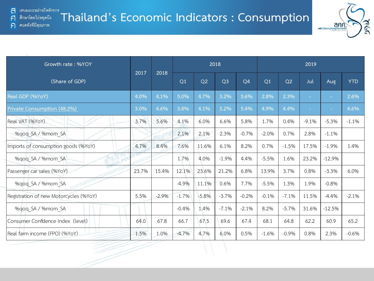้ คนคลังที่มีคุณภาพ

 $\mathsf{F}$ 

 $\bigcap$ 



| Growth rate: %YOY                      |       | 2018    |         |         |                |                | 2019    |                |                |          |            |  |
|----------------------------------------|-------|---------|---------|---------|----------------|----------------|---------|----------------|----------------|----------|------------|--|
| (Share of GDP)                         | 2017  | 2018    | Q1      | Q2      | Q <sub>3</sub> | Q <sub>4</sub> | Q1      | Q <sub>2</sub> | Jul            | Aug      | <b>YTD</b> |  |
| Real GDP (%YoY)                        | 4.0%  | 4.1%    | 5.0%    | 4.7%    | 3.2%           | 3.6%           | 2.8%    | 2.3%           | $\blacksquare$ | $\sim$   | 2.6%       |  |
| Private Consumption (48.2%)            | 3.0%  | 4.6%    | 3.8%    | 4.1%    | 5.2%           | 5.4%           | 4.9%    | 4.4%           |                | $\sim$   | 4.6%       |  |
| Real VAT (%YoY)                        | 3.7%  | 5.6%    | 4.1%    | 6.0%    | 6.6%           | 5.8%           | 1.7%    | 0.4%           | $-9.1%$        | $-5.3%$  | $-1.1%$    |  |
| %qoq SA / %mom SA                      |       |         | 2.1%    | 2.1%    | 2.3%           | $-0.7%$        | $-2.0%$ | 0.7%           | 2.8%           | $-1.1%$  |            |  |
| Imports of consumption goods (%YoY)    | 4.7%  | 8.4%    | 7.6%    | 11.6%   | 6.1%           | 8.2%           | 0.7%    | $-1.5%$        | 17.5%          | $-1.9%$  | 1.4%       |  |
| %qoq SA / %mom SA                      |       |         | 1.7%    | 4.0%    | $-1.9%$        | 4.4%           | $-5.5%$ | 1.6%           | 23.2%          | $-12.9%$ |            |  |
| Passenger car sales (%YoY)             | 23.7% | 15.4%   | 12.1%   | 23.6%   | 21.2%          | 6.8%           | 13.9%   | 3.7%           | 0.8%           | $-3.3%$  | 6.0%       |  |
| %qoq SA / %mom SA                      |       |         | $-4.9%$ | 11.1%   | 0.6%           | 7.7%           | $-5.5%$ | 1.3%           | 1.9%           | $-0.8%$  |            |  |
| Registration of new Motorcycles (%YoY) | 5.5%  | $-2.9%$ | $-1.7%$ | $-5.8%$ | $-3.7%$        | $-0.2%$        | $-0.1%$ | $-7.1%$        | 11.5%          | $-4.4%$  | $-2.1%$    |  |
| %gog SA / %mom SA                      |       |         | $-0.4%$ | 1.4%    | $-7.1%$        | $-2.1%$        | 8.2%    | $-5.7%$        | 31.6%          | $-12.5%$ |            |  |
| Consumer Confdence Index (level)       | 64.0  | 67.8    | 66.7    | 67.5    | 69.6           | 67.4           | 68.1    | 64.8           | 62.2           | 60.9     | 65.2       |  |
| Real farm income (FPO) (%YoY)          | 1.5%  | 1.0%    | $-4.7%$ | 4.7%    | 6.0%           | 0.5%           | $-1.6%$ | $-0.9%$        | 0.8%           | 2.3%     | $-0.6%$    |  |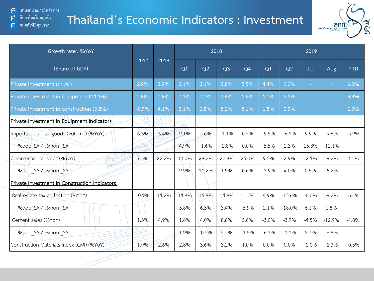้ คนคลังที่มีคุณภาพ

 $\mathsf{F}$ 

 $\bigcap$ 

## **Thailand's Economic Indicators : Investment**



| Growth rate: %YoY                             |         | 2018  |       |                |                |                | 2019    |          |                          |          |            |  |
|-----------------------------------------------|---------|-------|-------|----------------|----------------|----------------|---------|----------|--------------------------|----------|------------|--|
| (Share of GDP)                                | 2017    | 2018  | Q1    | Q <sub>2</sub> | Q <sub>3</sub> | Q <sub>4</sub> | Q1      | Q2       | Jul                      | Aug      | <b>YTD</b> |  |
| Private investment (17.7%)                    | 2.9%    | 3.9%  | 3.1%  | 3.1%           | 3.8%           | 5.5%           | 4.4%    | 2.2%     | $\overline{\phantom{a}}$ | $\sim$   | 3.3%       |  |
| Private investment in equipment (14.5%)       | 3.9%    | 3.9%  | 3.1%  | 3.3%           | 3.4%           | 5.6%           | 5.1%    | 2.5%     |                          | $\sim$   | 3.8%       |  |
| Private investment in construction (3.2%)     | $-0.9%$ | 4.1%  | 3.1%  | 2.8%           | 5.2%           | 5.1%           | 1.8%    | 0.9%     |                          |          | 1.3%       |  |
| Private Investment in Equipment Indicators    |         |       |       |                |                |                |         |          |                          |          |            |  |
| Imports of capital goods (volume) (%YoY)      | 6.3%    | 3.4%  | 9.1%  | 5.6%           | $-1.1%$        | 0.5%           | $-9.5%$ | $-6.1%$  | 9.9%                     | $-9.6%$  | $-5.9%$    |  |
| %qoq SA / %mom SA                             |         |       | 4.9%  | $-1.6%$        | $-2.8%$        | 0.0%           | $-5.5%$ | 2.3%     | 15.8%                    | $-12.1%$ |            |  |
| Commercial car sales (%YoY)                   | 7.5%    | 22.2% | 13.0% | 28.2%          | 22.8%          | 25.0%          | 9.5%    | 2.9%     | $-2.4%$                  | $-9.2%$  | 3.1%       |  |
| %gog SA / %mom SA                             |         |       | 9.9%  | 11.2%          | 1.9%           | 0.6%           | $-3.9%$ | 4.0%     | 0.5%                     | $-5.2%$  |            |  |
| Private Investment in Construction Indicators |         |       |       |                |                |                |         |          |                          |          |            |  |
| Real estate tax collection (%YoY)             | $-0.9%$ | 14.2% | 14.8% | 16.8%          | 14.9%          | 11.2%          | 4.9%    | $-15.6%$ | $-6.0%$                  | $-9.2%$  | $-6.4%$    |  |
| %gog SA / %mom SA                             |         |       | 5.8%  | 6.3%           | 3.4%           | $-5.9%$        | 2.1%    | $-18.0%$ | 6.1%                     | 1.8%     |            |  |
| Cement sales (%YoY)                           | 1.3%    | 4.9%  | 1.6%  | 4.0%           | 8.8%           | 5.6%           | $-3.0%$ | $-3.9%$  | $-4.5%$                  | $-12.9%$ | $-4.8%$    |  |
| %gog SA / %mom SA                             |         |       | 1.9%  | $-0.5%$        | 5.5%           | $-1.5%$        | $-6.3%$ | $-1.1%$  | 2.7%                     | $-8.6%$  |            |  |
| Construction Materials Index (CMI) (%YoY)     | 1.9%    | 2.6%  | 2.8%  | 3.6%           | 3.2%           | 1.0%           | 0.0%    | 0.0%     | $-2.0%$                  | $-2.3%$  | $-0.5%$    |  |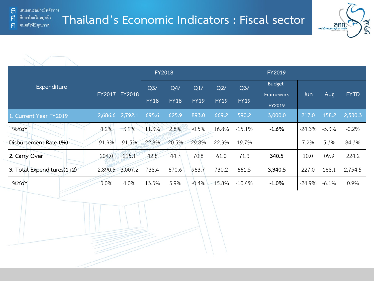้ เสนอแนะอย่างมีหลักการ ส ศึกษาโดยไม่หยุดนีง

คนคลังที่มีคุณภาพ

 $\mathsf{F}$ 

 $\bigcap$ 

**Thailand's Economic Indicators : Fiscal sector**



|                            |               |               | <b>FY2018</b>                 |                    |             |                    |                    |                            |          |         |             |
|----------------------------|---------------|---------------|-------------------------------|--------------------|-------------|--------------------|--------------------|----------------------------|----------|---------|-------------|
| Expenditure                | <b>FY2017</b> | <b>FY2018</b> | Q <sub>3</sub><br><b>FY18</b> | Q4/<br><b>FY18</b> |             | Q2/<br><b>FY19</b> | Q3/<br><b>FY19</b> | <b>Budget</b><br>Framework | Jun      | Aug     | <b>FYTD</b> |
|                            |               |               |                               |                    | <b>FY19</b> |                    |                    | FY2019                     |          |         |             |
| 1. Current Year FY2019     | 2,686.6       | 2,792.1       | 695.6                         | 625.9              | 893.0       | 669.2              | 590.2              | 3,000.0                    | 217.0    | 158.2   | 2,530.3     |
| %YoY                       | 4.2%          | 3.9%          | 11.3%                         | 2.8%               | $-0.5%$     | 16.8%              | $-15.1%$           | $-1.6%$                    | $-24.3%$ | $-5.3%$ | $-0.2%$     |
| Disbursement Rate (%)      | 91.9%         | 91.5%         | 22.8%                         | 20.5%              | 29.8%       | 22.3%              | 19.7%              |                            | 7.2%     | 5.3%    | 84.3%       |
| 2. Carry Over              | 204.0         | 215.1         | 42.8                          | 44.7               | 70.8        | 61.0               | 71.3               | 340.5                      | 10.0     | 09.9    | 224.2       |
| 3. Total Expenditures(1+2) | 2,890.5       | 3,007.2       | 738.4                         | 670.6              | 963.7       | 730.2              | 661.5              | 3,340.5                    | 227.0    | 168.1   | 2,754.5     |
| %YoY                       | 3.0%          | 4.0%          | 13.3%                         | 5.9%               | $-0.4%$     | 15.8%              | $-10.4%$           | $-1.0%$                    | $-24.9%$ | $-6.1%$ | 0.9%        |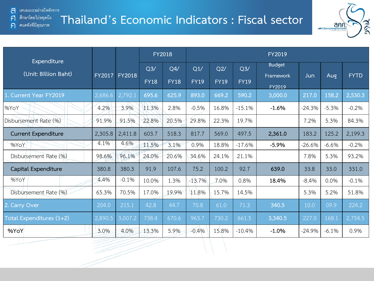$\mathsf{F}$ 

 $\bigcap$ 

### **Thailand's Economic Indicators : Fiscal sector** ศึกษาโดยไม่หยุดนีง คนคลังที่มีคุณภาพ



|                                     |               |               |             | <b>FY2018</b> | FY2019      |             |             |                            |          |         |             |  |  |
|-------------------------------------|---------------|---------------|-------------|---------------|-------------|-------------|-------------|----------------------------|----------|---------|-------------|--|--|
| Expenditure<br>(Unit: Billion Baht) | <b>FY2017</b> | <b>FY2018</b> | Q3/         | Q4/           | Q1/         | Q2/         | Q3/         | <b>Budget</b><br>Framework | Jun      | Aug     | <b>FYTD</b> |  |  |
|                                     |               |               | <b>FY18</b> | <b>FY18</b>   | <b>FY19</b> | <b>FY19</b> | <b>FY19</b> | FY2019                     |          |         |             |  |  |
| 1. Current Year FY2019              | 2,686.6       | 2,792.1       | 695.6       | 625.9         | 893.0       | 669.2       | 590.2       | 3,000.0                    | 217.0    | 158.2   | 2,530.3     |  |  |
| %YoY                                | 4.2%          | 3.9%          | 11.3%       | 2.8%          | $-0.5%$     | 16.8%       | $-15.1%$    | $-1.6%$                    | $-24.3%$ | $-5.3%$ | $-0.2%$     |  |  |
| Disbursement Rate (%)               | 91.9%         | 91.5%         | 22.8%       | 20.5%         | 29.8%       | 22.3%       | 19.7%       |                            | 7.2%     | 5.3%    | 84.3%       |  |  |
| <b>Current Expenditure</b>          | 2,305.8       | 2,411.8       | 603.7       | 518.3         | 817.7       | 569.0       | 497.5       | 2,361.0                    | 183.2    | 125.2   | 2,199.3     |  |  |
| %YoY                                | 4.1%          | 4.6%          | 11.5%       | 3.1%          | 0.9%        | 18.8%       | $-17.6%$    | $-5.9%$                    | $-26.6%$ | $-6.6%$ | $-0.2%$     |  |  |
| Disbursement Rate (%)               | 98.6%         | 96.1%         | 24.0%       | 20.6%         | 34.6%       | 24.1%       | 21.1%       |                            | 7.8%     | 5.3%    | 93.2%       |  |  |
| Capital Expenditure                 | 380.8         | 380.3         | 91.9        | 107.6         | 75.2        | 100.2       | 92.7        | 639.0                      | 33.8     | 33.0    | 331.0       |  |  |
| %YoY                                | 4.4%          | $-0.1%$       | 10.0%       | 1.3%          | $-13.7%$    | 7.0%        | 0.8%        | 18.4%                      | $-8.4%$  | 0.0%    | $-0.1%$     |  |  |
| Disbursement Rate (%)               | 65.3%         | 70.5%         | 17.0%       | 19.9%         | 11.8%       | 15.7%       | 14.5%       |                            | 5.3%     | 5.2%    | 51.8%       |  |  |
| 2. Carry Over                       | 204.0         | 215.1         | 42.8        | 44.7          | 70.8        | 61.0        | 71.3        | 340.5                      | 10.0     | 09.9    | 224.2       |  |  |
| Total Expenditures (1+2)            | 2,890.5       | 3,007.2       | 738.4       | 670.6         | 963.7       | 730.2       | 661.5       | 3,340.5                    | 227.0    | 168.1   | 2,754.5     |  |  |
| %YoY                                | 3.0%          | 4.0%          | 13.3%       | 5.9%          | $-0.4%$     | 15.8%       | $-10.4%$    | $-1.0%$                    | $-24.9%$ | $-6.1%$ | 0.9%        |  |  |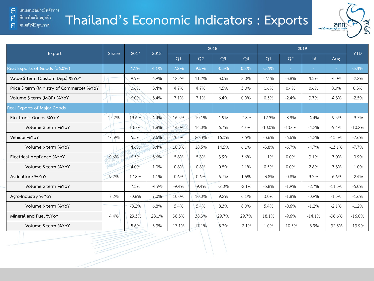#### ศึกษาโดยไม่หยุดนี้ง  $\mathsf{F}$

คนคลังที่มีคุณภาพ  $\bigcap$ 

# **Thailand's Economic Indicators : Exports**



|                                           | Share | 2017    | 2018    |         |         | 2018           |                |          | <b>YTD</b>     |            |          |          |
|-------------------------------------------|-------|---------|---------|---------|---------|----------------|----------------|----------|----------------|------------|----------|----------|
| Export                                    |       |         |         | Q1      | Q2      | O <sub>3</sub> | Q <sub>4</sub> | Q1       | O <sub>2</sub> | <b>Jul</b> | Aug      |          |
| Real Exports of Goods (56.0%)             |       | 4.1%    | 4.1%    | 7.2%    | 9.5%    | $-0.5%$        | 0.8%           | $-5.4%$  | ÷.             | $\sim$     | $\sim$   | $-5.4%$  |
| Value \$ term (Custom Dep.) %YoY          |       | 9.9%    | 6.9%    | 12.2%   | 11.2%   | 3.0%           | 2.0%           | $-2.1%$  | $-3.8%$        | 4.3%       | $-4.0%$  | $-2.2%$  |
| Price \$ term (Ministry of Commerce) %YoY |       | 3.6%    | 3.4%    | 4.7%    | 4.7%    | 4.5%           | 3.0%           | 1.6%     | 0.4%           | 0.6%       | 0.3%     | 0.3%     |
| Volume \$ term (MOF) %YoY                 |       | 6.0%    | 3.4%    | 7.1%    | 7.1%    | 6.4%           | 0.0%           | 0.3%     | $-2.4%$        | 3.7%       | $-4.3%$  | $-2.5%$  |
| Real Exports of Major Goods               |       |         |         |         |         |                |                |          |                |            |          |          |
| Electronic Goods %YoY                     | 15.2% | 13.6%   | 4.4%    | 16.5%   | 10.1%   | 1.9%           | $-7.8%$        | $-12.3%$ | $-8.9\%$       | $-4.4%$    | $-9.5%$  | $-9.7%$  |
| Volume \$ term %YoY                       |       | 13.7%   | 1.8%    | 14.0%   | 14.0%   | 6.7%           | $-1.0%$        | $-10.0%$ | $-13.4%$       | $-4.2%$    | $-9.4%$  | $-10.2%$ |
| Vehicle %YoY                              | 14.9% | 5.5%    | 9.6%    | 20.3%   | 20.3%   | 16.3%          | 7.5%           | $-3.6%$  | $-6.6%$        | $-4.2%$    | $-13.3%$ | $-7.6%$  |
| Volume \$ term %YoY                       |       | 4.6%    | 8.4%    | 18.5%   | 18.5%   | 14.5%          | 6.1%           | $-3.8%$  | $-6.7%$        | $-4.7%$    | $-13.1%$ | $-7.7%$  |
| Electrical Appliance %YoY                 | 9.6%  | 6.3%    | 3.6%    | 5.8%    | 5.8%    | 3.9%           | 3.6%           | 1.1%     | 0.0%           | 3.1%       | $-7.0%$  | $-0.9%$  |
| Volume \$ term %YoY                       |       | 4.0%    | 1.0%    | 0.8%    | 0.8%    | 0.5%           | 2.1%           | 0.5%     | 0.0%           | 2.8%       | $-7.3%$  | $-1.0%$  |
| Agriculture %YoY                          | 9.2%  | 17.8%   | 1.1%    | 0.6%    | 0.6%    | 6.7%           | 1.6%           | $-3.8%$  | $-0.8%$        | 3.3%       | $-6.6%$  | $-2.4%$  |
| Volume \$ term %YoY                       |       | 7.3%    | $-4.9%$ | $-9.4%$ | $-9.4%$ | $-2.0%$        | $-2.1%$        | $-5.8%$  | $-1.9%$        | $-2.7%$    | $-11.5%$ | $-5.0%$  |
| Agro-Industry %YoY                        | 7.2%  | $-0.8%$ | 7.0%    | 10.0%   | 10.0%   | 9.2%           | 6.1%           | 3.0%     | $-1.8%$        | $-0.9%$    | $-1.5%$  | $-1.6%$  |
| Volume \$ term %YoY                       |       | $-8.2%$ | 6.8%    | 5.4%    | 5.4%    | 8.3%           | 8.0%           | 5.4%     | $-0.6%$        | $-1.2%$    | $-2.1%$  | $-1.2%$  |
| Mineral and Fuel %YoY                     | 4.4%  | 29.3%   | 28.1%   | 38.3%   | 38.3%   | 29.7%          | 29.7%          | 18.1%    | $-9.6%$        | $-14.1%$   | $-38.6%$ | $-16.0%$ |
| Volume \$ term %YoY                       |       | 5.6%    | 5.3%    | 17.1%   | 17.1%   | 8.3%           | $-2.1%$        | 1.0%     | $-10.5%$       | $-8.9%$    | $-32.5%$ | $-13.9%$ |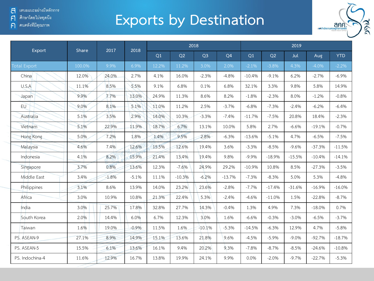์ คนคลังที่มีคุณภาพ  $\bigcap$ 

# **Exports by Destination**



| Export              |        | 2017<br>Share |         |       |          | 2018           |                | 2019     |          |          |          |            |  |
|---------------------|--------|---------------|---------|-------|----------|----------------|----------------|----------|----------|----------|----------|------------|--|
|                     |        |               | 2018    | Q1    | Q2       | Q <sub>3</sub> | Q <sub>4</sub> | Q1       | Q2       | Jul      | Aug      | <b>YTD</b> |  |
| <b>Total Export</b> | 100.0% | 9.9%          | 6.9%    | 12.2% | 11.2%    | 3.0%           | 2.0%           | $-2.1%$  | $-3.8%$  | 4.3%     | $-4.0\%$ | $-2.2\%$   |  |
| China               | 12.0%  | 24.0%         | 2.7%    | 4.1%  | 16.0%    | $-2.3%$        | $-4.8%$        | $-10.4%$ | $-9.1%$  | 6.2%     | $-2.7%$  | $-6.9%$    |  |
| U.S.A               | 11.1%  | 8.5%          | 5.5%    | 9.1%  | 6.8%     | 0.1%           | 6.8%           | 32.1%    | 3.3%     | 9.8%     | 5.8%     | 14.9%      |  |
| Japan               | 9.9%   | 7.7%          | 13.0%   | 24.9% | 11.3%    | 8.6%           | 8.2%           | $-1.8%$  | $-2.3%$  | 8.0%     | $-1.2%$  | $-0.8%$    |  |
| <b>EU</b>           | 9.0%   | 8.1%          | 5.1%    | 11.0% | 11.2%    | 2.5%           | $-3.7%$        | $-6.8%$  | $-7.3%$  | $-2.4%$  | $-6.2%$  | $-6.4%$    |  |
| Australia           | 5.1%   | 3.5%          | 2.9%    | 14.0% | 10.3%    | $-3.3%$        | $-7.4%$        | $-11.7%$ | $-7.5%$  | 20.8%    | 18.4%    | $-2.3%$    |  |
| Vietnam             | 5.1%   | 22.9%         | 11.9%   | 18.7% | 6.7%     | 13.1%          | 10.0%          | 5.8%     | 2.7%     | $-6.6%$  | $-19.1%$ | $-0.7%$    |  |
| Hong Kong           | 5.0%   | 7.2%          | 1.8%    | 1.4%  | 9.5%     | 2.8%           | $-6.3%$        | $-13.6%$ | $-5.1%$  | 4.7%     | $-6.5%$  | $-7.5%$    |  |
| Malaysia            | 4.6%   | 7.4%          | 12.6%   | 15.5% | 12.6%    | 19.4%          | 3.6%           | $-3.3%$  | $-8.5%$  | $-9.6%$  | $-37.3%$ | $-11.5%$   |  |
| Indonesia           | 4.1%   | 8.2%          | 15.9%   | 21.4% | 13.4%    | 19.4%          | 9.8%           | $-9.9%$  | $-18.9%$ | $-15.5%$ | $-10.4%$ | $-14.1%$   |  |
| Singapore           | 3.7%   | 0.8%          | 13.6%   | 12.3% | $-7.6%$  | 24.9%          | 29.2%          | $-10.9%$ | 10.8%    | 8.5%     | $-27.3%$ | $-3.5%$    |  |
| Middle East         | 3.4%   | $-1.8%$       | $-5.1%$ | 11.1% | $-10.3%$ | $-6.2%$        | $-13.7%$       | $-7.3%$  | $-8.3%$  | 5.0%     | 5.3%     | $-4.8%$    |  |
| Philippines         | 3.1%   | 8.6%          | 13.9%   | 14.0% | 23.2%    | 23.6%          | $-2.8%$        | $-7.7%$  | $-17.4%$ | $-31.6%$ | $-16.9%$ | $-16.0%$   |  |
| Africa              | 3.0%   | 10.9%         | 10.8%   | 21.3% | 22.4%    | 5.3%           | $-2.4%$        | $-4.6%$  | $-11.0%$ | 1.5%     | $-22.8%$ | $-8.7%$    |  |
| India               | 3.0%   | 25.7%         | 17.8%   | 32.8% | 27.7%    | 14.3%          | $-0.4%$        | 1.3%     | 4.9%     | 7.3%     | $-18.0%$ | 0.7%       |  |
| South Korea         | 2.0%   | 14.4%         | 6.0%    | 6.7%  | 12.3%    | 3.0%           | 1.6%           | $-6.6%$  | $-0.3%$  | $-3.0%$  | $-6.5%$  | $-3.7%$    |  |
| Taiwan              | 1.6%   | 19.0%         | $-0.9%$ | 11.5% | 1.6%     | $-10.1%$       | $-5.3%$        | $-14.5%$ | $-6.3%$  | 12.9%    | 4.7%     | $-5.8%$    |  |
| PS. ASEAN-9         | 27.1%  | 8.9%          | 14.9%   | 15.1% | 13.6%    | 21.8%          | 9.6%           | $-4.5%$  | $-5.9%$  | $-9.0%$  | $-92.7%$ | $-18.7%$   |  |
| PS. ASEAN-5         | 15.5%  | 6.1%          | 13.6%   | 16.1% | 9.4%     | 20.2%          | 9.3%           | $-7.8%$  | $-8.7%$  | $-8.5%$  | $-24.6%$ | $-10.8%$   |  |
| PS. Indochina-4     | 11.6%  | 12.9%         | 16.7%   | 13.8% | 19.9%    | 24.1%          | 9.9%           | 0.0%     | $-2.0%$  | $-9.7%$  | $-22.7%$ | $-5.3%$    |  |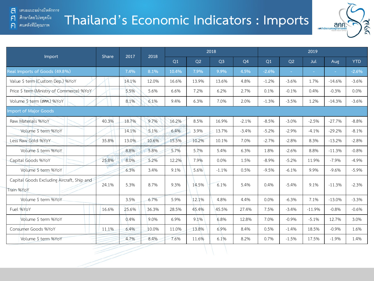#### ศึกษาโดยไม่หยุดนี้ง F1

#### ้ คนคลังที่มีคุณภาพ  $\bigcap$

# **Thailand's Economic Indicators : Imports**



|                                                          | Share | 2017  | 2018  |                |                | 2018           |                | 2019           |                |          |          |            |  |
|----------------------------------------------------------|-------|-------|-------|----------------|----------------|----------------|----------------|----------------|----------------|----------|----------|------------|--|
| <b>Import</b>                                            |       |       |       | O <sub>1</sub> | O <sub>2</sub> | O <sub>3</sub> | Q <sub>4</sub> | O <sub>1</sub> | O <sub>2</sub> | Jul      | Aug      | <b>YTD</b> |  |
| Real Imports of Goods (49.8%)                            |       | 7.4%  | 8.1%  | 10.4%          | 7.9%           | 9.9%           | 4.5%           | $-2.6%$        |                |          |          | $-2.6%$    |  |
| Value \$ term (Custom Dep.) %YoY                         |       | 14.1% | 12.0% | 16.6%          | 13.9%          | 13.6%          | 4.8%           | $-1.2%$        | $-3.6%$        | 1.7%     | $-14.6%$ | $-3.6%$    |  |
| Price \$ term (Ministry of Commerce) %YoY                |       | 5.5%  | 5.6%  | 6.6%           | 7.2%           | 6.2%           | 2.7%           | 0.1%           | $-0.1%$        | 0.4%     | $-0.3%$  | 0.0%       |  |
| Volume Sterm (ann.) %YoY                                 |       | 8.1%  | 6.1%  | 9.4%           | 6.3%           | 7.0%           | 2.0%           | $-1.3%$        | $-3.5%$        | 1.2%     | $-14.3%$ | $-3.6%$    |  |
| <b>Import of Major Goods</b>                             |       |       |       |                |                |                |                |                |                |          |          |            |  |
| Raw Materials %YoY                                       | 40.3% | 18.7% | 9.7%  | 16.2%          | 8.5%           | 16.9%          | $-2.1%$        | $-8.5%$        | $-3.0%$        | $-2.5%$  | $-27.7%$ | $-8.8%$    |  |
| Volume \$ term %YoY                                      |       | 14.1% | 5.1%  | 6.4%           | 3.9%           | 13.7%          | $-3.4%$        | $-5.2%$        | $-2.9%$        | $-4.1%$  | $-29.2%$ | $-8.1%$    |  |
| Less Raw Gold %YoY                                       | 35.8% | 13.0% | 10.6% | 15.5%          | 10.2%          | 10.1%          | 7.0%           | $-2.7%$        | $-2.8%$        | 8.3%     | $-13.2%$ | $-2.8%$    |  |
| Volume \$ term %YoY                                      |       | 8.8%  | 5.8%  | 5.7%           | 5.7%           | 5.4%           | 6.3%           | 1.8%           | $-2.6%$        | 8.8%     | $-11.3%$ | $-0.8%$    |  |
| Capital Goods %YoY                                       | 25.8% | 8.0%  | 5.2%  | 12.2%          | 7.9%           | 0.0%           | 1.5%           | $-8.9%$        | $-5.2%$        | 11.9%    | $-7.9%$  | $-4.9%$    |  |
| Volume \$ term %YoY                                      |       | 6.3%  | 3.4%  | 9.1%           | 5.6%           | $-1.1%$        | 0.5%           | $-9.5%$        | $-6.1%$        | 9.9%     | $-9.6%$  | $-5.9%$    |  |
| Capital Goods Excluding Aircraft, Ship and<br>Train %YoY | 24.1% | 5.3%  | 8.7%  | 9.3%           | 14.5%          | 6.1%           | 5.4%           | 0.4%           | $-5.4%$        | 9.1%     | $-11.3%$ | $-2.3%$    |  |
| Volume \$ term %YoY                                      |       | 3.5%  | 6.7%  | 5.9%           | 12.1%          | 4.8%           | 4.4%           | 0.0%           | $-6.3%$        | 7.1%     | $-13.0%$ | $-3.3%$    |  |
| Fuel %YoY                                                | 16.6% | 25.6% | 36.3% | 28.5%          | 45.4%          | 45.5%          | 27.4%          | 7.5%           | $-3.4%$        | $-11.9%$ | $-0.8%$  | $-0.6%$    |  |
| Volume \$ term %YoY                                      |       | 0.4%  | 9.0%  | 6.9%           | 9.1%           | 6.8%           | 12.8%          | 7.0%           | $-0.9%$        | $-5.1%$  | 12.7%    | 3.0%       |  |
| Consumer Goods %YoY                                      | 11.1% | 6.4%  | 10.0% | 11.0%          | 13.8%          | 6.9%           | 8.4%           | 0.5%           | $-1.4%$        | 18.5%    | $-0.9%$  | 1.6%       |  |
| Volume \$ term %YoY                                      |       | 4.7%  | 8.4%  | 7.6%           | 11.6%          | 6.1%           | 8.2%           | 0.7%           | $-1.5%$        | 17.5%    | $-1.9%$  | 1.4%       |  |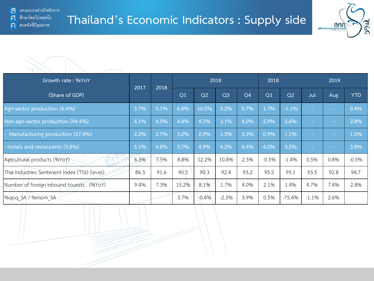้ คนคลังที่มีคุณภาพ

 $\bigcap$ 





| Growth rate: %YoY                              | 2017 | 2018 |                | 2018           |                |                |         |                | 2019      |        |            |
|------------------------------------------------|------|------|----------------|----------------|----------------|----------------|---------|----------------|-----------|--------|------------|
| (Share of GDP)                                 |      |      | Q <sub>1</sub> | Q <sub>2</sub> | Q <sub>3</sub> | Q <sub>4</sub> | Q1      | Q <sub>2</sub> | Jul       | Aug    | <b>YTD</b> |
| Agri-sector production (6.4%)                  | 3.7% | 5.1% | 6.8%           | 10.5%          | 3.2%           | 0.7%           | 1.7%    | $-1.1%$        |           | ×.     | 0.4%       |
| Non-agri-sector production (94.4%)             | 4.1% | 4.0% | 4.8%           | 4.2%           | 3.1%           | 4.0%           | 2.9%    | 2.6%           | <b>Co</b> | $\sim$ | 2.8%       |
| Manufacturing production (27.4%)               | 2.2% | 2.7% | 3.2%           | 2.9%           | 1.3%           | 3.3%           | 0.9%    | 1.1%           | <b>Co</b> | $\sim$ | 1.0%       |
| Hotels and restaurants (5.8%)                  | 5.1% | 4.8% | 5.7%           | 4.9%           | 4.2%           | 4.4%           | 4.0%    | 3.5%           | $\sim$    | $\sim$ | 3.8%       |
| Agricultural products (%YoY)                   | 6.3% | 7.5% | 8.8%           | 12.2%          | 10.8%          | 2.3%           | $-0.5%$ | $-1.4%$        | 0.5%      | 0.8%   | $-0.5%$    |
| Thai Industries Sentiment Index (TISI) (level) | 86.3 | 91.6 | 90.5           | 90.3           | 92.4           | 93.2           | 95.2    | 95.1           | 93.5      | 92.8   | 94.7       |
| Number of foreign inbound tourists (%YoY)      | 9.4% | 7.3% | 15.2%          | 8.1%           | 1.7%           | 4.0%           | 2.1%    | 1.4%           | 4.7%      | 7.4%   | 2.8%       |
| %gog SA / %mom SA                              |      |      | 3.7%           | $-0.4%$        | $-2.3%$        | 3.9%           | 0.5%    | $-75.4%$       | $-1.1%$   | 2.6%   |            |